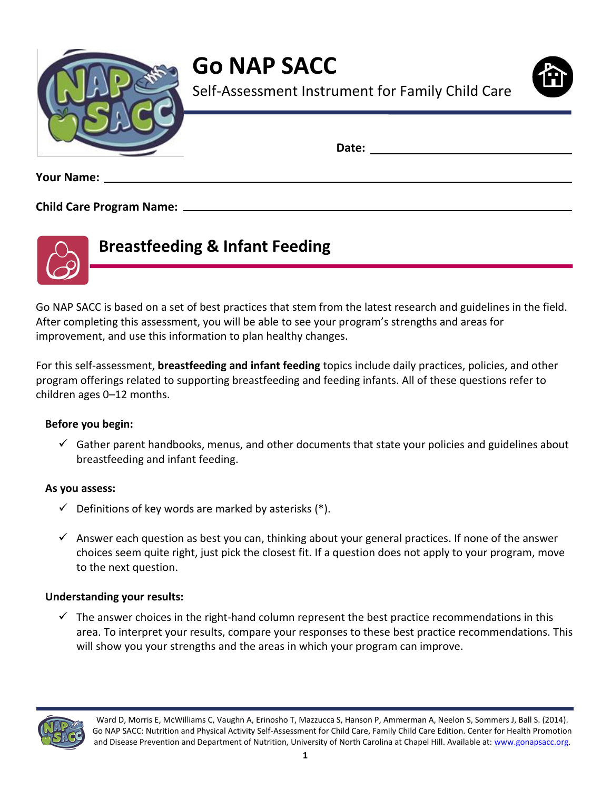

**Go NAP SACC**



Self-Assessment Instrument for Family Child Care

**Date:** 

**Your Name:** 

### **Child Care Program Name:**



# **Breastfeeding & Infant Feeding**

Go NAP SACC is based on a set of best practices that stem from the latest research and guidelines in the field. After completing this assessment, you will be able to see your program's strengths and areas for improvement, and use this information to plan healthy changes.

For this self-assessment, **breastfeeding and infant feeding** topics include daily practices, policies, and other program offerings related to supporting breastfeeding and feeding infants. All of these questions refer to children ages 0–12 months.

#### **Before you begin:**

 $\checkmark$  Gather parent handbooks, menus, and other documents that state your policies and guidelines about breastfeeding and infant feeding.

#### **As you assess:**

- $\checkmark$  Definitions of key words are marked by asterisks (\*).
- $\checkmark$  Answer each question as best you can, thinking about your general practices. If none of the answer choices seem quite right, just pick the closest fit. If a question does not apply to your program, move to the next question.

#### **Understanding your results:**

 $\checkmark$  The answer choices in the right-hand column represent the best practice recommendations in this area. To interpret your results, compare your responses to these best practice recommendations. This will show you your strengths and the areas in which your program can improve.

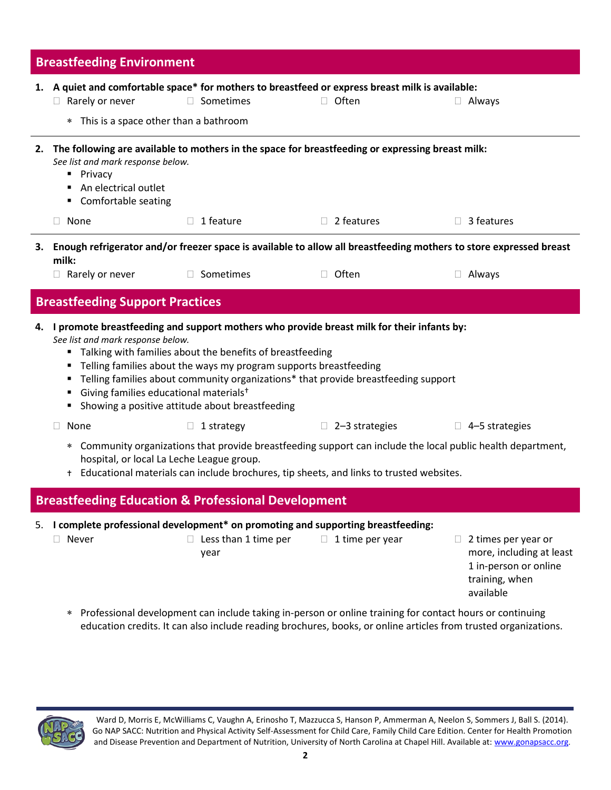| <b>Breastfeeding Environment</b> |                                                                                                                                                                                                                                                                                                                                                                                                                                                                                  |                                                                                                                           |                                                                                                     |                                                                                                         |  |  |
|----------------------------------|----------------------------------------------------------------------------------------------------------------------------------------------------------------------------------------------------------------------------------------------------------------------------------------------------------------------------------------------------------------------------------------------------------------------------------------------------------------------------------|---------------------------------------------------------------------------------------------------------------------------|-----------------------------------------------------------------------------------------------------|---------------------------------------------------------------------------------------------------------|--|--|
|                                  | 1. A quiet and comfortable space* for mothers to breastfeed or express breast milk is available:                                                                                                                                                                                                                                                                                                                                                                                 |                                                                                                                           |                                                                                                     |                                                                                                         |  |  |
|                                  | $\Box$ Rarely or never                                                                                                                                                                                                                                                                                                                                                                                                                                                           | □ Sometimes                                                                                                               | $\Box$ Often                                                                                        | $\Box$ Always                                                                                           |  |  |
|                                  | * This is a space other than a bathroom                                                                                                                                                                                                                                                                                                                                                                                                                                          |                                                                                                                           |                                                                                                     |                                                                                                         |  |  |
|                                  | See list and mark response below.<br>• Privacy<br>An electrical outlet<br>• Comfortable seating                                                                                                                                                                                                                                                                                                                                                                                  |                                                                                                                           | 2. The following are available to mothers in the space for breastfeeding or expressing breast milk: |                                                                                                         |  |  |
|                                  | $\Box$ None                                                                                                                                                                                                                                                                                                                                                                                                                                                                      | 1 feature                                                                                                                 | $\Box$ 2 features                                                                                   | $\Box$ 3 features                                                                                       |  |  |
|                                  | 3. Enough refrigerator and/or freezer space is available to allow all breastfeeding mothers to store expressed breast                                                                                                                                                                                                                                                                                                                                                            |                                                                                                                           |                                                                                                     |                                                                                                         |  |  |
|                                  | milk:<br>$\Box$ Rarely or never                                                                                                                                                                                                                                                                                                                                                                                                                                                  | □ Sometimes                                                                                                               | $\Box$ Often                                                                                        | $\Box$ Always                                                                                           |  |  |
|                                  | <b>Breastfeeding Support Practices</b>                                                                                                                                                                                                                                                                                                                                                                                                                                           |                                                                                                                           |                                                                                                     |                                                                                                         |  |  |
|                                  | 4. I promote breastfeeding and support mothers who provide breast milk for their infants by:<br>See list and mark response below.<br>" Talking with families about the benefits of breastfeeding<br>• Telling families about the ways my program supports breastfeeding<br>Telling families about community organizations* that provide breastfeeding support<br>Giving families educational materials <sup>+</sup><br>٠<br>Showing a positive attitude about breastfeeding<br>٠ |                                                                                                                           |                                                                                                     |                                                                                                         |  |  |
|                                  | None<br>ш                                                                                                                                                                                                                                                                                                                                                                                                                                                                        | $\Box$ 1 strategy                                                                                                         | $\Box$ 2-3 strategies                                                                               | $\Box$ 4-5 strategies                                                                                   |  |  |
|                                  | Community organizations that provide breastfeeding support can include the local public health department,<br>$\ast$<br>hospital, or local La Leche League group.<br>+ Educational materials can include brochures, tip sheets, and links to trusted websites.                                                                                                                                                                                                                   |                                                                                                                           |                                                                                                     |                                                                                                         |  |  |
|                                  |                                                                                                                                                                                                                                                                                                                                                                                                                                                                                  | <b>Breastfeeding Education &amp; Professional Development</b>                                                             |                                                                                                     |                                                                                                         |  |  |
|                                  | Never<br>$\ast$                                                                                                                                                                                                                                                                                                                                                                                                                                                                  | 5. I complete professional development* on promoting and supporting breastfeeding:<br>$\Box$ Less than 1 time per<br>year | $\Box$ 1 time per year                                                                              | 2 times per year or<br>more, including at least<br>1 in-person or online<br>training, when<br>available |  |  |
|                                  | Professional development can include taking in-person or online training for contact hours or continuing<br>education credits. It can also include reading brochures, books, or online articles from trusted organizations.                                                                                                                                                                                                                                                      |                                                                                                                           |                                                                                                     |                                                                                                         |  |  |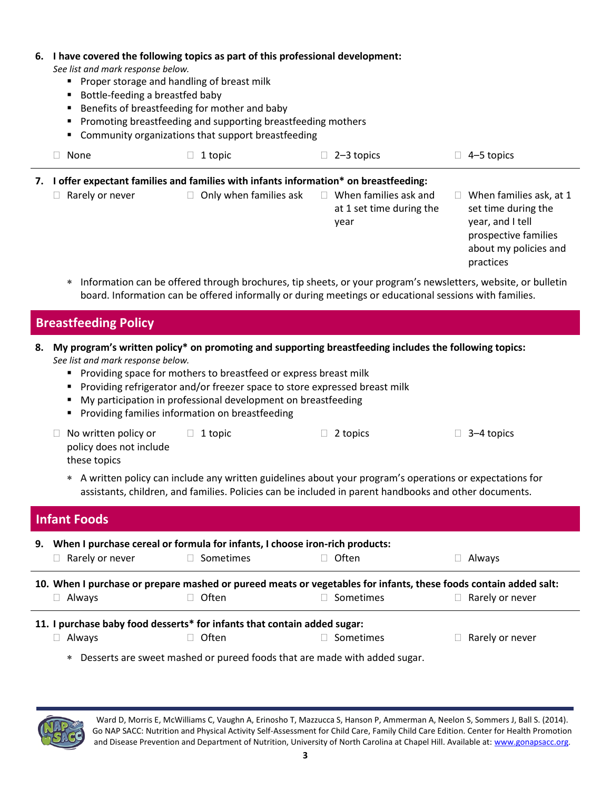| 6. | I have covered the following topics as part of this professional development:<br>See list and mark response below.<br>• Proper storage and handling of breast milk<br>Bottle-feeding a breastfed baby<br>Benefits of breastfeeding for mother and baby<br>Promoting breastfeeding and supporting breastfeeding mothers<br>Community organizations that support breastfeeding |         |                                                                                            |                                                                                                                                  |  |  |
|----|------------------------------------------------------------------------------------------------------------------------------------------------------------------------------------------------------------------------------------------------------------------------------------------------------------------------------------------------------------------------------|---------|--------------------------------------------------------------------------------------------|----------------------------------------------------------------------------------------------------------------------------------|--|--|
|    | None                                                                                                                                                                                                                                                                                                                                                                         | 1 topic | $2-3$ topics                                                                               | 4–5 topics                                                                                                                       |  |  |
| 7. | I offer expectant families and families with infants information* on breastfeeding:                                                                                                                                                                                                                                                                                          |         |                                                                                            |                                                                                                                                  |  |  |
|    | Rarely or never                                                                                                                                                                                                                                                                                                                                                              | $\Box$  | Only when families ask $\square$ When families ask and<br>at 1 set time during the<br>year | When families ask, at 1<br>set time during the<br>year, and I tell<br>prospective families<br>about my policies and<br>practices |  |  |

 Information can be offered through brochures, tip sheets, or your program's newsletters, website, or bulletin board. Information can be offered informally or during meetings or educational sessions with families.

# **Breastfeeding Policy**

- **8. My program's written policy\* on promoting and supporting breastfeeding includes the following topics:** *See list and mark response below.*
	- **Providing space for mothers to breastfeed or express breast milk**
	- **Providing refrigerator and/or freezer space to store expressed breast milk**
	- **My participation in professional development on breastfeeding**
	- **Providing families information on breastfeeding**
	- □ No written policy or policy does not include these topics  $\Box$  1 topic  $\Box$  2 topics  $\Box$  3–4 topics
		- A written policy can include any written guidelines about your program's operations or expectations for assistants, children, and families. Policies can be included in parent handbooks and other documents.

## **Infant Foods**

| 9.                                                                                                               | Rarely or never                                                                     | When I purchase cereal or formula for infants, I choose iron-rich products:<br>$\Box$ Sometimes | ∃ Often   | Always          |  |  |
|------------------------------------------------------------------------------------------------------------------|-------------------------------------------------------------------------------------|-------------------------------------------------------------------------------------------------|-----------|-----------------|--|--|
| 10. When I purchase or prepare mashed or pureed meats or vegetables for infants, these foods contain added salt: |                                                                                     |                                                                                                 |           |                 |  |  |
|                                                                                                                  | Always                                                                              | Often                                                                                           | Sometimes | Rarely or never |  |  |
| 11. I purchase baby food desserts* for infants that contain added sugar:                                         |                                                                                     |                                                                                                 |           |                 |  |  |
|                                                                                                                  | Always                                                                              | Often                                                                                           | Sometimes | Rarely or never |  |  |
|                                                                                                                  | Desserts are sweet mashed or pureed foods that are made with added sugar.<br>$\ast$ |                                                                                                 |           |                 |  |  |



Ward D, Morris E, McWilliams C, Vaughn A, Erinosho T, Mazzucca S, Hanson P, Ammerman A, Neelon S, Sommers J, Ball S. (2014). Go NAP SACC: Nutrition and Physical Activity Self-Assessment for Child Care, Family Child Care Edition. Center for Health Promotion and Disease Prevention and Department of Nutrition, University of North Carolina at Chapel Hill. Available at[: www.gonapsacc.org](http://www.gonapsacc.org/).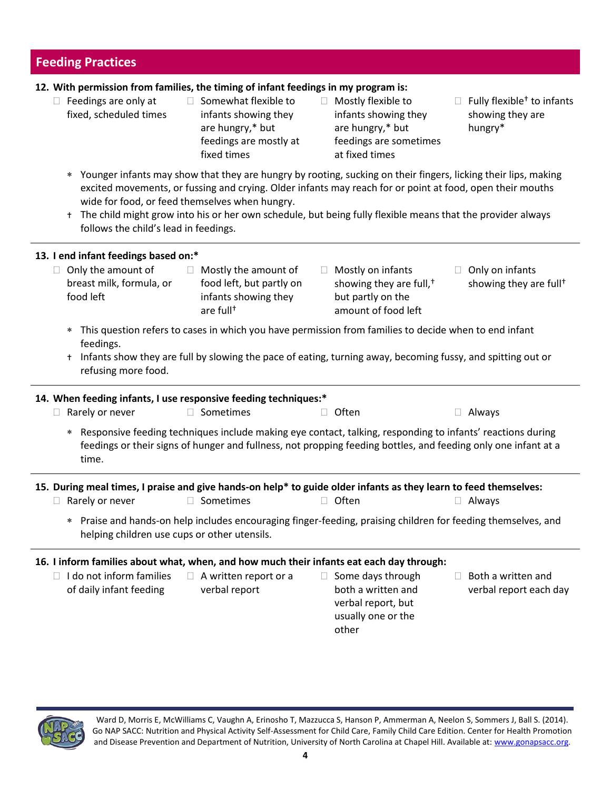#### **Feeding Practices 12. With permission from families, the timing of infant feedings in my program is:**  $\Box$  Feedings are only at fixed, scheduled times  $\Box$  Somewhat flexible to infants showing they are hungry,\* but feedings are mostly at fixed times □ Mostly flexible to infants showing they are hungry,\* but feedings are sometimes at fixed times  $\Box$  Fully flexible<sup>+</sup> to infants showing they are hungry\* Younger infants may show that they are hungry by rooting, sucking on their fingers, licking their lips, making excited movements, or fussing and crying. Older infants may reach for or point at food, open their mouths wide for food, or feed themselves when hungry. t The child might grow into his or her own schedule, but being fully flexible means that the provider always follows the child's lead in feedings. **13. I end infant feedings based on:\***  $\Box$  Only the amount of breast milk, formula, or food left  $\Box$  Mostly the amount of food left, but partly on infants showing they are full†  $\Box$  Mostly on infants showing they are full,† but partly on the amount of food left  $\Box$  Only on infants showing they are full† This question refers to cases in which you have permission from families to decide when to end infant feedings. t Infants show they are full by slowing the pace of eating, turning away, becoming fussy, and spitting out or refusing more food. **14. When feeding infants, I use responsive feeding techniques:\***  $\Box$  Rarely or never  $\Box$  Sometimes  $\Box$  Often  $\Box$  Always Responsive feeding techniques include making eye contact, talking, responding to infants' reactions during feedings or their signs of hunger and fullness, not propping feeding bottles, and feeding only one infant at a time. **15. During meal times, I praise and give hands-on help\* to guide older infants as they learn to feed themselves:** □ Rarely or never O Sometimes Often O Often O Always Praise and hands-on help includes encouraging finger-feeding, praising children for feeding themselves, and helping children use cups or other utensils. **16. I inform families about what, when, and how much their infants eat each day through:**  $\Box$  I do not inform families of daily infant feeding  $\Box$  A written report or a verbal report  $\Box$  Some days through both a written and verbal report, but usually one or the other  $\Box$  Both a written and verbal report each day



Ward D, Morris E, McWilliams C, Vaughn A, Erinosho T, Mazzucca S, Hanson P, Ammerman A, Neelon S, Sommers J, Ball S. (2014). Go NAP SACC: Nutrition and Physical Activity Self-Assessment for Child Care, Family Child Care Edition. Center for Health Promotion and Disease Prevention and Department of Nutrition, University of North Carolina at Chapel Hill. Available at[: www.gonapsacc.org](http://www.gonapsacc.org/).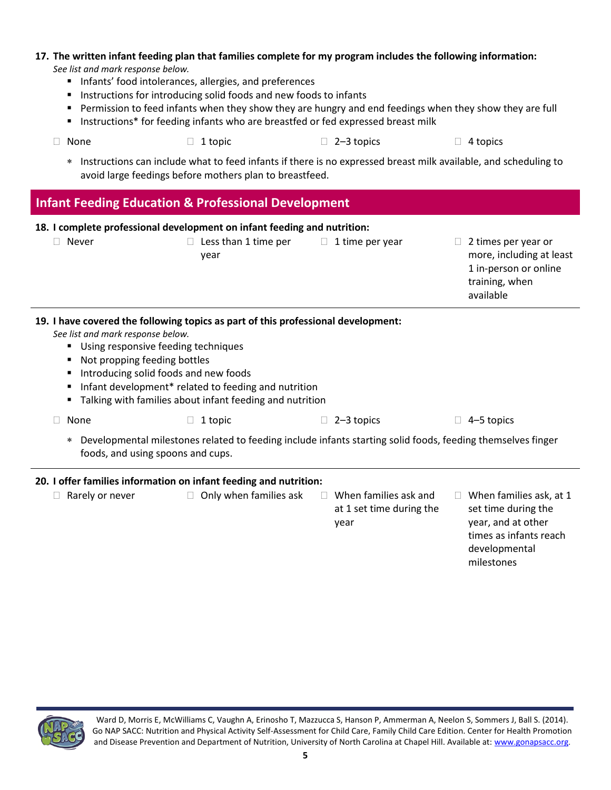# **17. The written infant feeding plan that families complete for my program includes the following information:**

*See list and mark response below.*

- **Infants' food intolerances, allergies, and preferences**
- **Instructions for introducing solid foods and new foods to infants**
- **Permission to feed infants when they show they are hungry and end feedings when they show they are full**
- **Instructions\*** for feeding infants who are breastfed or fed expressed breast milk
- $\Box$  None  $\Box$  1 topic  $\Box$  2–3 topics  $\Box$  4 topics
	- Instructions can include what to feed infants if there is no expressed breast milk available, and scheduling to avoid large feedings before mothers plan to breastfeed.

## **Infant Feeding Education & Professional Development**

| 18. I complete professional development on infant feeding and nutrition: |                                                                                                                                                                                                                                                                                                                                                            |                                                                                                             |                                                                     |                   |                                                                                                                        |  |
|--------------------------------------------------------------------------|------------------------------------------------------------------------------------------------------------------------------------------------------------------------------------------------------------------------------------------------------------------------------------------------------------------------------------------------------------|-------------------------------------------------------------------------------------------------------------|---------------------------------------------------------------------|-------------------|------------------------------------------------------------------------------------------------------------------------|--|
| $\mathbb{R}^n$                                                           | Never                                                                                                                                                                                                                                                                                                                                                      | Less than 1 time per<br>П.<br>year                                                                          | 1 time per year<br>$\mathbb{R}^n$                                   | $\mathbb{R}^n$    | 2 times per year or<br>more, including at least<br>1 in-person or online<br>training, when<br>available                |  |
|                                                                          | 19. I have covered the following topics as part of this professional development:<br>See list and mark response below.<br>Using responsive feeding techniques<br>Not propping feeding bottles<br>Introducing solid foods and new foods<br>Infant development* related to feeding and nutrition<br>Talking with families about infant feeding and nutrition |                                                                                                             |                                                                     |                   |                                                                                                                        |  |
| None                                                                     |                                                                                                                                                                                                                                                                                                                                                            | 1 topic<br>$\Box$                                                                                           | 2-3 topics                                                          | $\Box$ 4-5 topics |                                                                                                                        |  |
| $\ast$                                                                   | foods, and using spoons and cups.                                                                                                                                                                                                                                                                                                                          | Developmental milestones related to feeding include infants starting solid foods, feeding themselves finger |                                                                     |                   |                                                                                                                        |  |
| 20. I offer families information on infant feeding and nutrition:        |                                                                                                                                                                                                                                                                                                                                                            |                                                                                                             |                                                                     |                   |                                                                                                                        |  |
|                                                                          | Rarely or never                                                                                                                                                                                                                                                                                                                                            | Only when families ask                                                                                      | When families ask and<br>$\Box$<br>at 1 set time during the<br>year |                   | $\Box$ When families ask, at 1<br>set time during the<br>year, and at other<br>times as infants reach<br>developmental |  |



Ward D, Morris E, McWilliams C, Vaughn A, Erinosho T, Mazzucca S, Hanson P, Ammerman A, Neelon S, Sommers J, Ball S. (2014). Go NAP SACC: Nutrition and Physical Activity Self-Assessment for Child Care, Family Child Care Edition. Center for Health Promotion and Disease Prevention and Department of Nutrition, University of North Carolina at Chapel Hill. Available at[: www.gonapsacc.org](http://www.gonapsacc.org/).

milestones